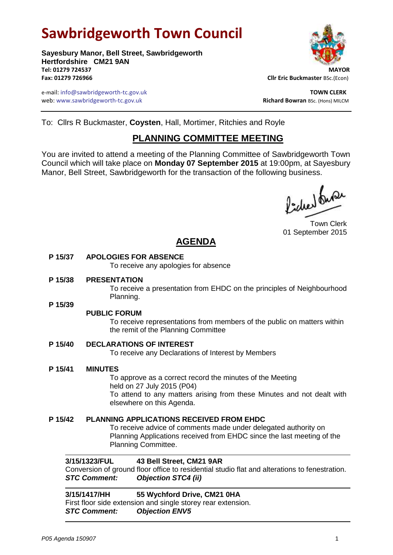# **Sawbridgeworth Town Council**

**Sayesbury Manor, Bell Street, Sawbridgeworth Hertfordshire CM21 9AN Tel: 01279 724537 MAYOR Fax: 01279 726966 Cllr Eric Buckmaster** BSc.(Econ)

e-mail: info@sawbridgeworth-tc.gov.uk **TOWN CLERK** web: www.sawbridgeworth-tc.gov.uk and the state of the state of the state of the state of the state of the state of the state of the state of the state of the state of the state of the state of the state of the state of th



To: Cllrs R Buckmaster, **Coysten**, Hall, Mortimer, Ritchies and Royle

## **PLANNING COMMITTEE MEETING**

You are invited to attend a meeting of the Planning Committee of Sawbridgeworth Town Council which will take place on **Monday 07 September 2015** at 19:00pm, at Sayesbury Manor, Bell Street, Sawbridgeworth for the transaction of the following business.

fideed fune

Town Clerk 01 September 2015

## **AGENDA**

### **P 15/37 APOLOGIES FOR ABSENCE**

To receive any apologies for absence

#### **P 15/38 PRESENTATION**

To receive a presentation from EHDC on the principles of Neighbourhood Planning.

**P 15/39**

### **PUBLIC FORUM**

To receive representations from members of the public on matters within the remit of the Planning Committee

### **P 15/40 DECLARATIONS OF INTEREST**

To receive any Declarations of Interest by Members

### **P 15/41 MINUTES**

To approve as a correct record the minutes of the Meeting held on 27 July 2015 (P04) To attend to any matters arising from these Minutes and not dealt with elsewhere on this Agenda.

### **P 15/42 PLANNING APPLICATIONS RECEIVED FROM EHDC**

To receive advice of comments made under delegated authority on Planning Applications received from EHDC since the last meeting of the Planning Committee.

### **3/15/1323/FUL 43 Bell Street, CM21 9AR**

Conversion of ground floor office to residential studio flat and alterations to fenestration. *STC Comment: Objection STC4 (ii)* 

### **3/15/1417/HH 55 Wychford Drive, CM21 0HA**

First floor side extension and single storey rear extension. *STC Comment: Objection ENV5*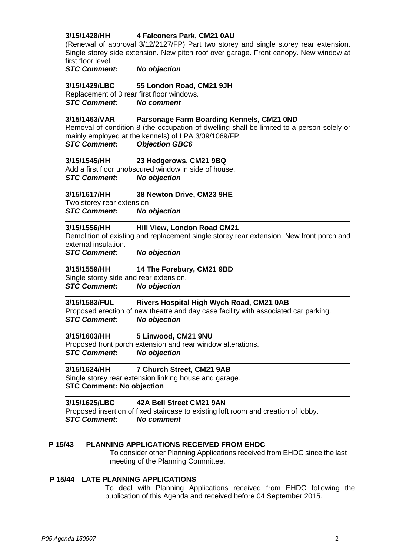### **3/15/1428/HH 4 Falconers Park, CM21 0AU**

(Renewal of approval 3/12/2127/FP) Part two storey and single storey rear extension. Single storey side extension. New pitch roof over garage. Front canopy. New window at first floor level.

### *STC Comment: No objection*

#### **3/15/1429/LBC 55 London Road, CM21 9JH**

Replacement of 3 rear first floor windows. *STC Comment: No comment*

#### **3/15/1463/VAR Parsonage Farm Boarding Kennels, CM21 0ND**

Removal of condition 8 (the occupation of dwelling shall be limited to a person solely or mainly employed at the kennels) of LPA 3/09/1069/FP. *STC Comment: Objection GBC6*

#### **3/15/1545/HH 23 Hedgerows, CM21 9BQ**

Add a first floor unobscured window in side of house. *STC Comment: No objection*

### **3/15/1617/HH 38 Newton Drive, CM23 9HE**

Two storey rear extension *STC Comment: No objection*

#### **3/15/1556/HH Hill View, London Road CM21**

Demolition of existing and replacement single storey rear extension. New front porch and external insulation.

*STC Comment: No objection*

#### **3/15/1559/HH 14 The Forebury, CM21 9BD**

Single storey side and rear extension. *STC Comment: No objection*

#### **3/15/1583/FUL Rivers Hospital High Wych Road, CM21 0AB**

Proposed erection of new theatre and day case facility with associated car parking. *STC Comment: No objection*

**3/15/1603/HH 5 Linwood, CM21 9NU**

Proposed front porch extension and rear window alterations. *STC Comment: No objection*

#### **3/15/1624/HH 7 Church Street, CM21 9AB**

Single storey rear extension linking house and garage. **STC Comment: No objection**

### **3/15/1625/LBC 42A Bell Street CM21 9AN**

Proposed insertion of fixed staircase to existing loft room and creation of lobby. *STC Comment: No comment*

#### **P 15/43 PLANNING APPLICATIONS RECEIVED FROM EHDC**

To consider other Planning Applications received from EHDC since the last meeting of the Planning Committee.

### **P 15/44 LATE PLANNING APPLICATIONS**

To deal with Planning Applications received from EHDC following the publication of this Agenda and received before 04 September 2015.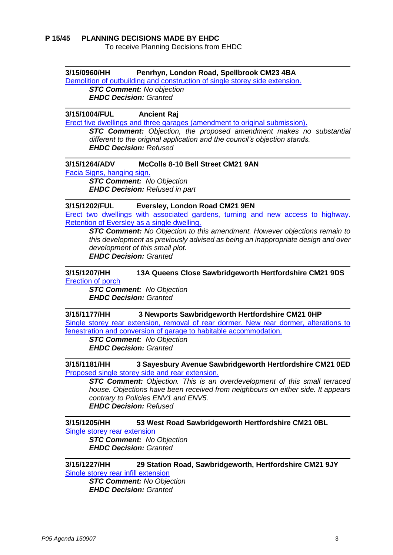### **P 15/45 PLANNING DECISIONS MADE BY EHDC**

To receive Planning Decisions from EHDC

#### **3/15/0960/HH Penrhyn, London Road, Spellbrook CM23 4BA**

[Demolition of outbuilding and construction of single storey side extension.](https://publicaccess.eastherts.gov.uk/online-applications/applicationDetails.do?activeTab=summary&keyVal=NO1DQLGLG3S00) *STC Comment: No objection EHDC Decision: Granted*

### **3/15/1004/FUL Ancient Raj**

Erect five dwellings and three garages (amendment to original submission).

*STC Comment: Objection, the proposed amendment makes no substantial different to the original application and the council's objection stands. EHDC Decision: Refused*

### **3/15/1264/ADV McColls 8-10 Bell Street CM21 9AN**

Facia Signs, hanging sign. *STC Comment: No Objection EHDC Decision: Refused in part*

### **3/15/1202/FUL Eversley, London Road CM21 9EN**

[Erect two dwellings with associated gardens, turning and new access to highway.](https://publicaccess.eastherts.gov.uk/online-applications/applicationDetails.do?activeTab=summary&keyVal=NPMAN0GL00X00)  [Retention of Eversley as a single dwelling.](https://publicaccess.eastherts.gov.uk/online-applications/applicationDetails.do?activeTab=summary&keyVal=NPMAN0GL00X00)

*STC Comment: No Objection to this amendment. However objections remain to this development as previously advised as being an inappropriate design and over development of this small plot.*

*EHDC Decision: Granted*

#### **3/15/1207/HH 13A Queens Close Sawbridgeworth Hertfordshire CM21 9DS** [Erection of porch](https://publicaccess.eastherts.gov.uk/online-applications/applicationDetails.do?activeTab=summary&keyVal=NPMH9ZGLGC500&prevPage=inTray)

*STC Comment: No Objection EHDC Decision: Granted*

**3/15/1177/HH 3 Newports Sawbridgeworth Hertfordshire CM21 0HP**  [Single storey rear extension, removal of rear dormer. New rear dormer, alterations to](https://publicaccess.eastherts.gov.uk/online-applications/applicationDetails.do?activeTab=summary&keyVal=NPDJ34GLGB900&prevPage=inTray)  [fenestration and conversion of garage to habitable accommodation.](https://publicaccess.eastherts.gov.uk/online-applications/applicationDetails.do?activeTab=summary&keyVal=NPDJ34GLGB900&prevPage=inTray) 

*STC Comment: No Objection EHDC Decision: Granted*

**3/15/1181/HH 3 Sayesbury Avenue Sawbridgeworth Hertfordshire CM21 0ED**  [Proposed single storey side and rear extension.](https://publicaccess.eastherts.gov.uk/online-applications/applicationDetails.do?activeTab=summary&keyVal=NPERH7GLGBD00&prevPage=inTray)

*STC Comment: Objection. This is an overdevelopment of this small terraced house. Objections have been received from neighbours on either side. It appears contrary to Policies ENV1 and ENV5. EHDC Decision: Refused*

### **3/15/1205/HH 53 West Road Sawbridgeworth Hertfordshire CM21 0BL**  [Single storey rear extension](https://publicaccess.eastherts.gov.uk/online-applications/applicationDetails.do?activeTab=summary&keyVal=NPME0VGL00X00&prevPage=inTray)

*STC Comment: No Objection EHDC Decision: Granted*

**3/15/1227/HH 29 Station Road, Sawbridgeworth, Hertfordshire CM21 9JY** Single storey [rear infill extension](https://publicaccess.eastherts.gov.uk/online-applications/applicationDetails.do?activeTab=summary&keyVal=NPQHP5GLGCZ00) *STC Comment: No Objection*

*EHDC Decision: Granted*